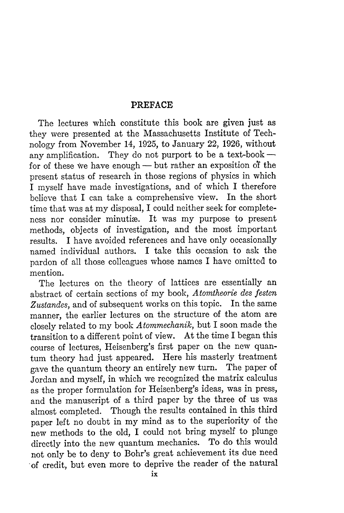## PREFACE

The lectures which constitute this book are given just as they were presented at the Massachusetts Institute of Technology from November 14, 1925, to January 22, 1926, without any amplification. They do not purport to be a text-book  $$ for of these we have enough  $-$  but rather an exposition of the present status of research in those regions of physics in which I myself have made investigations , and of which I therefore believe that I can take a comprehensive view. In the short time that was at my disposal, I could neither seek for completeness nor consider minutiæ. It was my purpose to present methods, objects of investigation, and the most important results. I have avoided references and have only occasionally named individual authors. I take this occasion to ask the pardon of all those colleagues whose names I have omitted to mention.

The lectures on the theory of lattices are essentially an abstract of certain sections of my book, Atomtheorie des festen Zustandes, and of subsequent works on this topic. In the same manner, the earlier lectures on the structure of the atom are closely related to my book Atommechanik, but I soon made the transition to a different point of view. At the time I began this course of lectures. Heisenberg's first paper on the new quantum theory had just appeared. Here his masterly treatment gave the quantum theory an entirely new turn. The paper of Jordan and myself, in which we recognized the matrix calculus as the proper formulation for Heisenberg's ideas, was in press, and the manuscript of a third paper by the three of us was almost completed. Though the results contained in this third paper left no doubt in my mind as to the superiority of the new methods to the old, I could not bring myself to plunge directly into the new quantum mechanics. To do this would not only be to deny to Bohr's great achievement its due need of credit, but even more to deprive the reader of the natural  $\frac{1}{1}$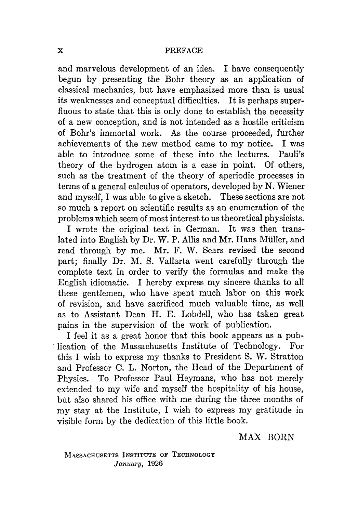#### x **PREFACE**

and marvelous development of an idea. I have consequently begun by presenting the Bohr theory as an application of classical mechanics, but have emphasized more than is usual its weaknesses and conceptual difficulties. It is perhaps superfluous to state that this is only done to establish the necessity of a new conception , and is not intended as a hostile criticism of Bohr's immortal work. As the course proceeded, further achievements of the new method came to my notice. I was able to introduce some of these into the lectures. Pauli's theory of the hydrogen atom is a case in point. Of others, such as the treatment of the theory of aperiodic processes in terms of a general calculus of operators, developed by N. Wiener and myself, I was able to give a sketch. These sections are not so much a report on scientific results as an enumeration of the problems which seem of most interest to us theoretical physicists .

I wrote the original text in German. It was then translated into English by Dr. W. P. Allis and Mr. Hans Müller, and read through by me. Mr. F. W. Sears revised the second part; finally Dr. M. S. Vallarta went carefully through the complete text in order to verify the formulas and make the English idiomatic . I hereby express my sincere thanks to all these gentlemen, who have spent much labor on this work of revision, and have sacrificed much valuable time, as well as to Assistant Dean H. E. Lobdell, who has taken great pains in the supervision of the work of publication.

I feel it as a great honor that this book appears as a pub lication of the Massachusetts Institute of Technology. For this I wish to express my thanks to President S. W. Stratton and Professor C. L. Norton, the Head of the Department of Physics. To Professor Paul Heymans, who has not merely extended to my wife and myself the hospitality of his house, but also shared his office with me during the three months of my stay at the Institute, I wish to express my gratitude in visible form by the dedication of this little book.

MAX BORN

### MASSACHUSETTS INSTITUTE OF TECHNOLOGY January, 1926